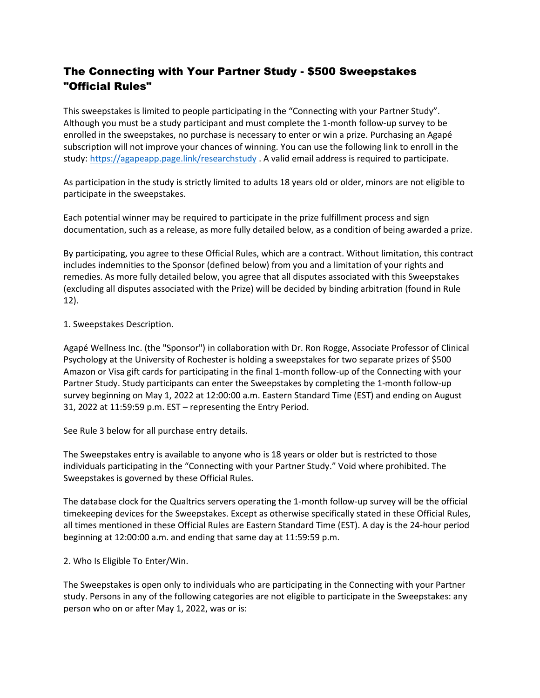# The Connecting with Your Partner Study - \$500 Sweepstakes "Official Rules"

This sweepstakes is limited to people participating in the "Connecting with your Partner Study". Although you must be a study participant and must complete the 1-month follow-up survey to be enrolled in the sweepstakes, no purchase is necessary to enter or win a prize. Purchasing an Agapé subscription will not improve your chances of winning. You can use the following link to enroll in the study:<https://agapeapp.page.link/researchstudy> . A valid email address is required to participate.

As participation in the study is strictly limited to adults 18 years old or older, minors are not eligible to participate in the sweepstakes.

Each potential winner may be required to participate in the prize fulfillment process and sign documentation, such as a release, as more fully detailed below, as a condition of being awarded a prize.

By participating, you agree to these Official Rules, which are a contract. Without limitation, this contract includes indemnities to the Sponsor (defined below) from you and a limitation of your rights and remedies. As more fully detailed below, you agree that all disputes associated with this Sweepstakes (excluding all disputes associated with the Prize) will be decided by binding arbitration (found in Rule 12).

1. Sweepstakes Description.

Agapé Wellness Inc. (the "Sponsor") in collaboration with Dr. Ron Rogge, Associate Professor of Clinical Psychology at the University of Rochester is holding a sweepstakes for two separate prizes of \$500 Amazon or Visa gift cards for participating in the final 1-month follow-up of the Connecting with your Partner Study. Study participants can enter the Sweepstakes by completing the 1-month follow-up survey beginning on May 1, 2022 at 12:00:00 a.m. Eastern Standard Time (EST) and ending on August 31, 2022 at 11:59:59 p.m. EST – representing the Entry Period.

See Rule 3 below for all purchase entry details.

The Sweepstakes entry is available to anyone who is 18 years or older but is restricted to those individuals participating in the "Connecting with your Partner Study." Void where prohibited. The Sweepstakes is governed by these Official Rules.

The database clock for the Qualtrics servers operating the 1-month follow-up survey will be the official timekeeping devices for the Sweepstakes. Except as otherwise specifically stated in these Official Rules, all times mentioned in these Official Rules are Eastern Standard Time (EST). A day is the 24-hour period beginning at 12:00:00 a.m. and ending that same day at 11:59:59 p.m.

2. Who Is Eligible To Enter/Win.

The Sweepstakes is open only to individuals who are participating in the Connecting with your Partner study. Persons in any of the following categories are not eligible to participate in the Sweepstakes: any person who on or after May 1, 2022, was or is: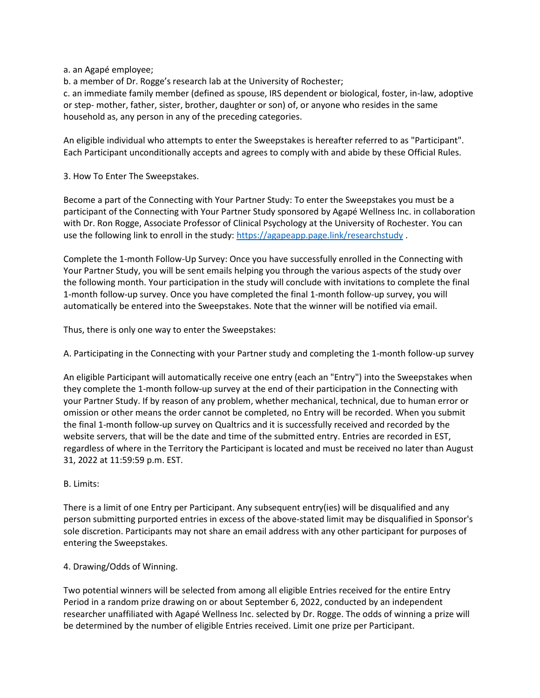a. an Agapé employee;

b. a member of Dr. Rogge's research lab at the University of Rochester;

c. an immediate family member (defined as spouse, IRS dependent or biological, foster, in-law, adoptive or step- mother, father, sister, brother, daughter or son) of, or anyone who resides in the same household as, any person in any of the preceding categories.

An eligible individual who attempts to enter the Sweepstakes is hereafter referred to as "Participant". Each Participant unconditionally accepts and agrees to comply with and abide by these Official Rules.

3. How To Enter The Sweepstakes.

Become a part of the Connecting with Your Partner Study: To enter the Sweepstakes you must be a participant of the Connecting with Your Partner Study sponsored by Agapé Wellness Inc. in collaboration with Dr. Ron Rogge, Associate Professor of Clinical Psychology at the University of Rochester. You can use the following link to enroll in the study:<https://agapeapp.page.link/researchstudy>.

Complete the 1-month Follow-Up Survey: Once you have successfully enrolled in the Connecting with Your Partner Study, you will be sent emails helping you through the various aspects of the study over the following month. Your participation in the study will conclude with invitations to complete the final 1-month follow-up survey. Once you have completed the final 1-month follow-up survey, you will automatically be entered into the Sweepstakes. Note that the winner will be notified via email.

Thus, there is only one way to enter the Sweepstakes:

A. Participating in the Connecting with your Partner study and completing the 1-month follow-up survey

An eligible Participant will automatically receive one entry (each an "Entry") into the Sweepstakes when they complete the 1-month follow-up survey at the end of their participation in the Connecting with your Partner Study. If by reason of any problem, whether mechanical, technical, due to human error or omission or other means the order cannot be completed, no Entry will be recorded. When you submit the final 1-month follow-up survey on Qualtrics and it is successfully received and recorded by the website servers, that will be the date and time of the submitted entry. Entries are recorded in EST, regardless of where in the Territory the Participant is located and must be received no later than August 31, 2022 at 11:59:59 p.m. EST.

B. Limits:

There is a limit of one Entry per Participant. Any subsequent entry(ies) will be disqualified and any person submitting purported entries in excess of the above-stated limit may be disqualified in Sponsor's sole discretion. Participants may not share an email address with any other participant for purposes of entering the Sweepstakes.

# 4. Drawing/Odds of Winning.

Two potential winners will be selected from among all eligible Entries received for the entire Entry Period in a random prize drawing on or about September 6, 2022, conducted by an independent researcher unaffiliated with Agapé Wellness Inc. selected by Dr. Rogge. The odds of winning a prize will be determined by the number of eligible Entries received. Limit one prize per Participant.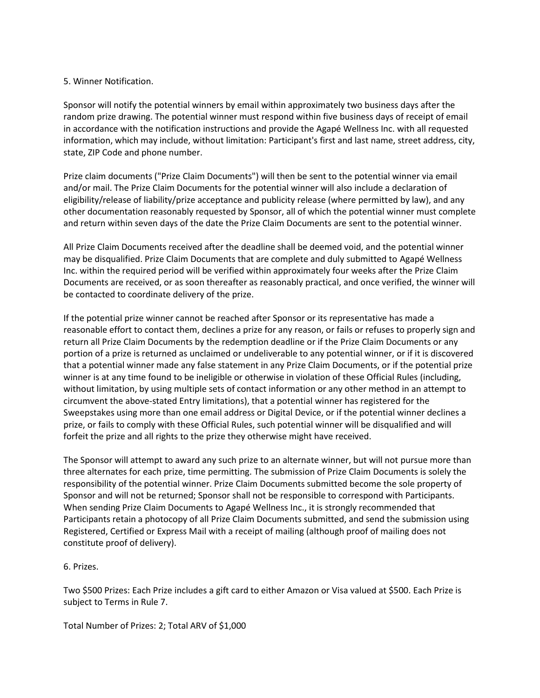# 5. Winner Notification.

Sponsor will notify the potential winners by email within approximately two business days after the random prize drawing. The potential winner must respond within five business days of receipt of email in accordance with the notification instructions and provide the Agapé Wellness Inc. with all requested information, which may include, without limitation: Participant's first and last name, street address, city, state, ZIP Code and phone number.

Prize claim documents ("Prize Claim Documents") will then be sent to the potential winner via email and/or mail. The Prize Claim Documents for the potential winner will also include a declaration of eligibility/release of liability/prize acceptance and publicity release (where permitted by law), and any other documentation reasonably requested by Sponsor, all of which the potential winner must complete and return within seven days of the date the Prize Claim Documents are sent to the potential winner.

All Prize Claim Documents received after the deadline shall be deemed void, and the potential winner may be disqualified. Prize Claim Documents that are complete and duly submitted to Agapé Wellness Inc. within the required period will be verified within approximately four weeks after the Prize Claim Documents are received, or as soon thereafter as reasonably practical, and once verified, the winner will be contacted to coordinate delivery of the prize.

If the potential prize winner cannot be reached after Sponsor or its representative has made a reasonable effort to contact them, declines a prize for any reason, or fails or refuses to properly sign and return all Prize Claim Documents by the redemption deadline or if the Prize Claim Documents or any portion of a prize is returned as unclaimed or undeliverable to any potential winner, or if it is discovered that a potential winner made any false statement in any Prize Claim Documents, or if the potential prize winner is at any time found to be ineligible or otherwise in violation of these Official Rules (including, without limitation, by using multiple sets of contact information or any other method in an attempt to circumvent the above-stated Entry limitations), that a potential winner has registered for the Sweepstakes using more than one email address or Digital Device, or if the potential winner declines a prize, or fails to comply with these Official Rules, such potential winner will be disqualified and will forfeit the prize and all rights to the prize they otherwise might have received.

The Sponsor will attempt to award any such prize to an alternate winner, but will not pursue more than three alternates for each prize, time permitting. The submission of Prize Claim Documents is solely the responsibility of the potential winner. Prize Claim Documents submitted become the sole property of Sponsor and will not be returned; Sponsor shall not be responsible to correspond with Participants. When sending Prize Claim Documents to Agapé Wellness Inc., it is strongly recommended that Participants retain a photocopy of all Prize Claim Documents submitted, and send the submission using Registered, Certified or Express Mail with a receipt of mailing (although proof of mailing does not constitute proof of delivery).

# 6. Prizes.

Two \$500 Prizes: Each Prize includes a gift card to either Amazon or Visa valued at \$500. Each Prize is subject to Terms in Rule 7.

Total Number of Prizes: 2; Total ARV of \$1,000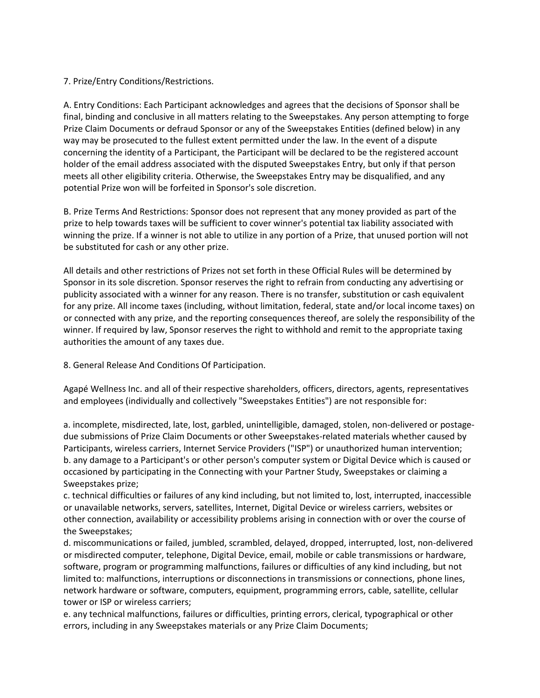# 7. Prize/Entry Conditions/Restrictions.

A. Entry Conditions: Each Participant acknowledges and agrees that the decisions of Sponsor shall be final, binding and conclusive in all matters relating to the Sweepstakes. Any person attempting to forge Prize Claim Documents or defraud Sponsor or any of the Sweepstakes Entities (defined below) in any way may be prosecuted to the fullest extent permitted under the law. In the event of a dispute concerning the identity of a Participant, the Participant will be declared to be the registered account holder of the email address associated with the disputed Sweepstakes Entry, but only if that person meets all other eligibility criteria. Otherwise, the Sweepstakes Entry may be disqualified, and any potential Prize won will be forfeited in Sponsor's sole discretion.

B. Prize Terms And Restrictions: Sponsor does not represent that any money provided as part of the prize to help towards taxes will be sufficient to cover winner's potential tax liability associated with winning the prize. If a winner is not able to utilize in any portion of a Prize, that unused portion will not be substituted for cash or any other prize.

All details and other restrictions of Prizes not set forth in these Official Rules will be determined by Sponsor in its sole discretion. Sponsor reserves the right to refrain from conducting any advertising or publicity associated with a winner for any reason. There is no transfer, substitution or cash equivalent for any prize. All income taxes (including, without limitation, federal, state and/or local income taxes) on or connected with any prize, and the reporting consequences thereof, are solely the responsibility of the winner. If required by law, Sponsor reserves the right to withhold and remit to the appropriate taxing authorities the amount of any taxes due.

# 8. General Release And Conditions Of Participation.

Agapé Wellness Inc. and all of their respective shareholders, officers, directors, agents, representatives and employees (individually and collectively "Sweepstakes Entities") are not responsible for:

a. incomplete, misdirected, late, lost, garbled, unintelligible, damaged, stolen, non-delivered or postagedue submissions of Prize Claim Documents or other Sweepstakes-related materials whether caused by Participants, wireless carriers, Internet Service Providers ("ISP") or unauthorized human intervention; b. any damage to a Participant's or other person's computer system or Digital Device which is caused or occasioned by participating in the Connecting with your Partner Study, Sweepstakes or claiming a Sweepstakes prize;

c. technical difficulties or failures of any kind including, but not limited to, lost, interrupted, inaccessible or unavailable networks, servers, satellites, Internet, Digital Device or wireless carriers, websites or other connection, availability or accessibility problems arising in connection with or over the course of the Sweepstakes;

d. miscommunications or failed, jumbled, scrambled, delayed, dropped, interrupted, lost, non-delivered or misdirected computer, telephone, Digital Device, email, mobile or cable transmissions or hardware, software, program or programming malfunctions, failures or difficulties of any kind including, but not limited to: malfunctions, interruptions or disconnections in transmissions or connections, phone lines, network hardware or software, computers, equipment, programming errors, cable, satellite, cellular tower or ISP or wireless carriers;

e. any technical malfunctions, failures or difficulties, printing errors, clerical, typographical or other errors, including in any Sweepstakes materials or any Prize Claim Documents;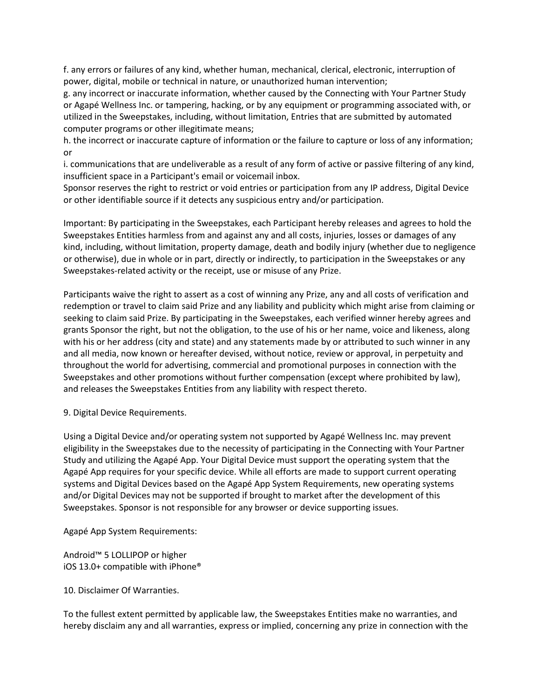f. any errors or failures of any kind, whether human, mechanical, clerical, electronic, interruption of power, digital, mobile or technical in nature, or unauthorized human intervention;

g. any incorrect or inaccurate information, whether caused by the Connecting with Your Partner Study or Agapé Wellness Inc. or tampering, hacking, or by any equipment or programming associated with, or utilized in the Sweepstakes, including, without limitation, Entries that are submitted by automated computer programs or other illegitimate means;

h. the incorrect or inaccurate capture of information or the failure to capture or loss of any information; or

i. communications that are undeliverable as a result of any form of active or passive filtering of any kind, insufficient space in a Participant's email or voicemail inbox.

Sponsor reserves the right to restrict or void entries or participation from any IP address, Digital Device or other identifiable source if it detects any suspicious entry and/or participation.

Important: By participating in the Sweepstakes, each Participant hereby releases and agrees to hold the Sweepstakes Entities harmless from and against any and all costs, injuries, losses or damages of any kind, including, without limitation, property damage, death and bodily injury (whether due to negligence or otherwise), due in whole or in part, directly or indirectly, to participation in the Sweepstakes or any Sweepstakes-related activity or the receipt, use or misuse of any Prize.

Participants waive the right to assert as a cost of winning any Prize, any and all costs of verification and redemption or travel to claim said Prize and any liability and publicity which might arise from claiming or seeking to claim said Prize. By participating in the Sweepstakes, each verified winner hereby agrees and grants Sponsor the right, but not the obligation, to the use of his or her name, voice and likeness, along with his or her address (city and state) and any statements made by or attributed to such winner in any and all media, now known or hereafter devised, without notice, review or approval, in perpetuity and throughout the world for advertising, commercial and promotional purposes in connection with the Sweepstakes and other promotions without further compensation (except where prohibited by law), and releases the Sweepstakes Entities from any liability with respect thereto.

9. Digital Device Requirements.

Using a Digital Device and/or operating system not supported by Agapé Wellness Inc. may prevent eligibility in the Sweepstakes due to the necessity of participating in the Connecting with Your Partner Study and utilizing the Agapé App. Your Digital Device must support the operating system that the Agapé App requires for your specific device. While all efforts are made to support current operating systems and Digital Devices based on the Agapé App System Requirements, new operating systems and/or Digital Devices may not be supported if brought to market after the development of this Sweepstakes. Sponsor is not responsible for any browser or device supporting issues.

Agapé App System Requirements:

Android™ 5 LOLLIPOP or higher iOS 13.0+ compatible with iPhone®

10. Disclaimer Of Warranties.

To the fullest extent permitted by applicable law, the Sweepstakes Entities make no warranties, and hereby disclaim any and all warranties, express or implied, concerning any prize in connection with the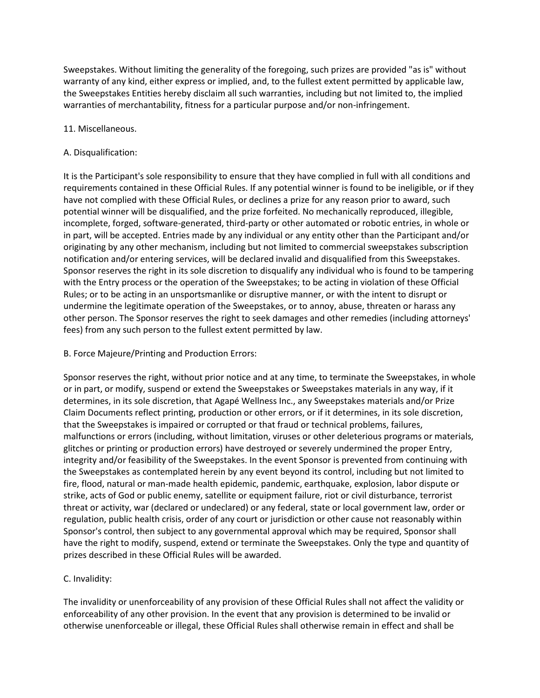Sweepstakes. Without limiting the generality of the foregoing, such prizes are provided "as is" without warranty of any kind, either express or implied, and, to the fullest extent permitted by applicable law, the Sweepstakes Entities hereby disclaim all such warranties, including but not limited to, the implied warranties of merchantability, fitness for a particular purpose and/or non-infringement.

## 11. Miscellaneous.

## A. Disqualification:

It is the Participant's sole responsibility to ensure that they have complied in full with all conditions and requirements contained in these Official Rules. If any potential winner is found to be ineligible, or if they have not complied with these Official Rules, or declines a prize for any reason prior to award, such potential winner will be disqualified, and the prize forfeited. No mechanically reproduced, illegible, incomplete, forged, software-generated, third-party or other automated or robotic entries, in whole or in part, will be accepted. Entries made by any individual or any entity other than the Participant and/or originating by any other mechanism, including but not limited to commercial sweepstakes subscription notification and/or entering services, will be declared invalid and disqualified from this Sweepstakes. Sponsor reserves the right in its sole discretion to disqualify any individual who is found to be tampering with the Entry process or the operation of the Sweepstakes; to be acting in violation of these Official Rules; or to be acting in an unsportsmanlike or disruptive manner, or with the intent to disrupt or undermine the legitimate operation of the Sweepstakes, or to annoy, abuse, threaten or harass any other person. The Sponsor reserves the right to seek damages and other remedies (including attorneys' fees) from any such person to the fullest extent permitted by law.

# B. Force Majeure/Printing and Production Errors:

Sponsor reserves the right, without prior notice and at any time, to terminate the Sweepstakes, in whole or in part, or modify, suspend or extend the Sweepstakes or Sweepstakes materials in any way, if it determines, in its sole discretion, that Agapé Wellness Inc., any Sweepstakes materials and/or Prize Claim Documents reflect printing, production or other errors, or if it determines, in its sole discretion, that the Sweepstakes is impaired or corrupted or that fraud or technical problems, failures, malfunctions or errors (including, without limitation, viruses or other deleterious programs or materials, glitches or printing or production errors) have destroyed or severely undermined the proper Entry, integrity and/or feasibility of the Sweepstakes. In the event Sponsor is prevented from continuing with the Sweepstakes as contemplated herein by any event beyond its control, including but not limited to fire, flood, natural or man-made health epidemic, pandemic, earthquake, explosion, labor dispute or strike, acts of God or public enemy, satellite or equipment failure, riot or civil disturbance, terrorist threat or activity, war (declared or undeclared) or any federal, state or local government law, order or regulation, public health crisis, order of any court or jurisdiction or other cause not reasonably within Sponsor's control, then subject to any governmental approval which may be required, Sponsor shall have the right to modify, suspend, extend or terminate the Sweepstakes. Only the type and quantity of prizes described in these Official Rules will be awarded.

# C. Invalidity:

The invalidity or unenforceability of any provision of these Official Rules shall not affect the validity or enforceability of any other provision. In the event that any provision is determined to be invalid or otherwise unenforceable or illegal, these Official Rules shall otherwise remain in effect and shall be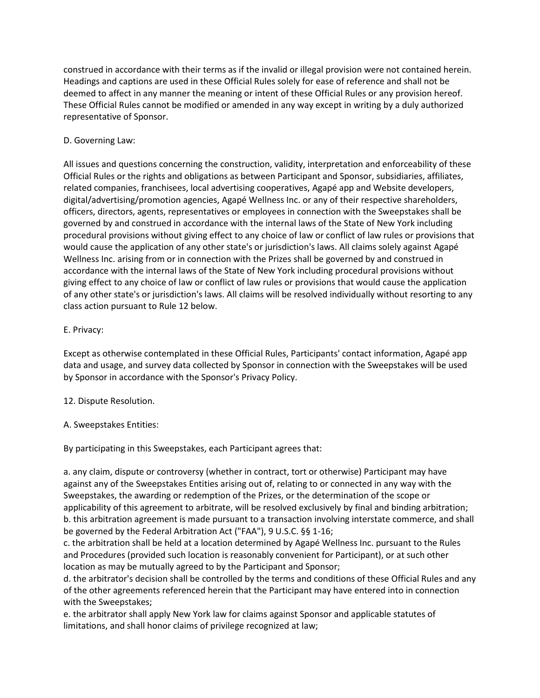construed in accordance with their terms as if the invalid or illegal provision were not contained herein. Headings and captions are used in these Official Rules solely for ease of reference and shall not be deemed to affect in any manner the meaning or intent of these Official Rules or any provision hereof. These Official Rules cannot be modified or amended in any way except in writing by a duly authorized representative of Sponsor.

# D. Governing Law:

All issues and questions concerning the construction, validity, interpretation and enforceability of these Official Rules or the rights and obligations as between Participant and Sponsor, subsidiaries, affiliates, related companies, franchisees, local advertising cooperatives, Agapé app and Website developers, digital/advertising/promotion agencies, Agapé Wellness Inc. or any of their respective shareholders, officers, directors, agents, representatives or employees in connection with the Sweepstakes shall be governed by and construed in accordance with the internal laws of the State of New York including procedural provisions without giving effect to any choice of law or conflict of law rules or provisions that would cause the application of any other state's or jurisdiction's laws. All claims solely against Agapé Wellness Inc. arising from or in connection with the Prizes shall be governed by and construed in accordance with the internal laws of the State of New York including procedural provisions without giving effect to any choice of law or conflict of law rules or provisions that would cause the application of any other state's or jurisdiction's laws. All claims will be resolved individually without resorting to any class action pursuant to Rule 12 below.

# E. Privacy:

Except as otherwise contemplated in these Official Rules, Participants' contact information, Agapé app data and usage, and survey data collected by Sponsor in connection with the Sweepstakes will be used by Sponsor in accordance with the Sponsor's Privacy Policy.

# 12. Dispute Resolution.

# A. Sweepstakes Entities:

By participating in this Sweepstakes, each Participant agrees that:

a. any claim, dispute or controversy (whether in contract, tort or otherwise) Participant may have against any of the Sweepstakes Entities arising out of, relating to or connected in any way with the Sweepstakes, the awarding or redemption of the Prizes, or the determination of the scope or applicability of this agreement to arbitrate, will be resolved exclusively by final and binding arbitration; b. this arbitration agreement is made pursuant to a transaction involving interstate commerce, and shall be governed by the Federal Arbitration Act ("FAA"), 9 U.S.C. §§ 1-16;

c. the arbitration shall be held at a location determined by Agapé Wellness Inc. pursuant to the Rules and Procedures (provided such location is reasonably convenient for Participant), or at such other location as may be mutually agreed to by the Participant and Sponsor;

d. the arbitrator's decision shall be controlled by the terms and conditions of these Official Rules and any of the other agreements referenced herein that the Participant may have entered into in connection with the Sweepstakes;

e. the arbitrator shall apply New York law for claims against Sponsor and applicable statutes of limitations, and shall honor claims of privilege recognized at law;